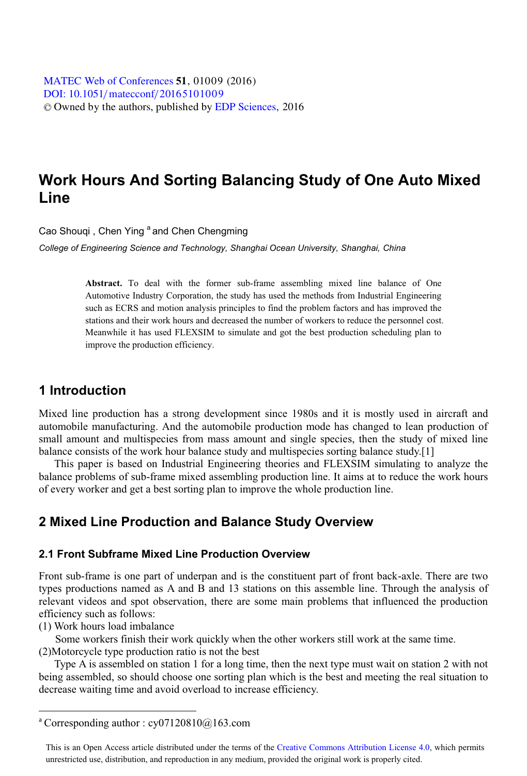[DOI: 10.1051](http://dx.doi.org/10.1051/matecconf/20165101009)/matecconf/20165101009 © Owned by the authors, published by [EDP Sciences](http://www.edpsciences.org), 2016 MATEC [Web of Conferences](http://www.matec-conferences.org) **51**, 01009 (2016)<br>DOU: 10 1051/matecconf/20165101009

# **Work Hours And Sorting Balancing Study of One Auto Mixed Line**

Cao Shougi, Chen Ying <sup>a</sup> and Chen Chengming

*College of Engineering Science and Technology, Shanghai Ocean University, Shanghai, China* 

**Abstract.** To deal with the former sub-frame assembling mixed line balance of One Automotive Industry Corporation, the study has used the methods from Industrial Engineering such as ECRS and motion analysis principles to find the problem factors and has improved the stations and their work hours and decreased the number of workers to reduce the personnel cost. Meanwhile it has used FLEXSIM to simulate and got the best production scheduling plan to improve the production efficiency.

# **1 Introduction**

Mixed line production has a strong development since 1980s and it is mostly used in aircraft and automobile manufacturing. And the automobile production mode has changed to lean production of small amount and multispecies from mass amount and single species, then the study of mixed line balance consists of the work hour balance study and multispecies sorting balance study.[1]

This paper is based on Industrial Engineering theories and FLEXSIM simulating to analyze the balance problems of sub-frame mixed assembling production line. It aims at to reduce the work hours of every worker and get a best sorting plan to improve the whole production line.

# **2 Mixed Line Production and Balance Study Overview**

#### **2.1 Front Subframe Mixed Line Production Overview**

Front sub-frame is one part of underpan and is the constituent part of front back-axle. There are two types productions named as A and B and 13 stations on this assemble line. Through the analysis of relevant videos and spot observation, there are some main problems that influenced the production efficiency such as follows:

(1) Work hours load imbalance

 $\overline{a}$ 

Some workers finish their work quickly when the other workers still work at the same time. (2)Motorcycle type production ratio is not the best

Type A is assembled on station 1 for a long time, then the next type must wait on station 2 with not being assembled, so should choose one sorting plan which is the best and meeting the real situation to decrease waiting time and avoid overload to increase efficiency.

<sup>&</sup>lt;sup>a</sup> Corresponding author :  $cy07120810@163.com$ 

This is an Open Access article distributed under the terms of the Creative Commons Attribution License 4.0, which permits unrestricted use, distribution, and reproduction in any medium, provided the original work is properly cited.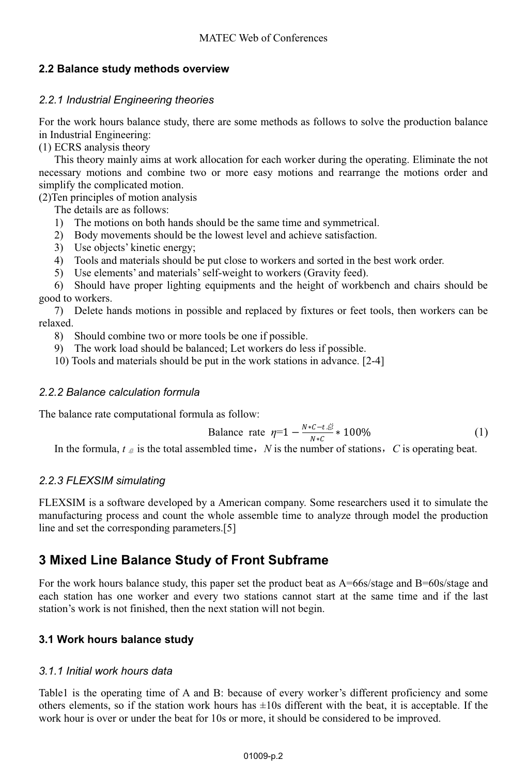# **2.2 Balance study methods overview**

# *2.2.1 Industrial Engineering theories*

For the work hours balance study, there are some methods as follows to solve the production balance in Industrial Engineering:

(1) ECRS analysis theory

This theory mainly aims at work allocation for each worker during the operating. Eliminate the not necessary motions and combine two or more easy motions and rearrange the motions order and simplify the complicated motion.

(2)Ten principles of motion analysis

The details are as follows:

- 1) The motions on both hands should be the same time and symmetrical.
- 2) Body movements should be the lowest level and achieve satisfaction.
- 3) Use objects' kinetic energy;
- 4) Tools and materials should be put close to workers and sorted in the best work order.
- 5) Use elements' and materials' self-weight to workers (Gravity feed).

6) Should have proper lighting equipments and the height of workbench and chairs should be good to workers.

7) Delete hands motions in possible and replaced by fixtures or feet tools, then workers can be relaxed.

- 8) Should combine two or more tools be one if possible.
- 9) The work load should be balanced; Let workers do less if possible.
- 10) Tools and materials should be put in the work stations in advance. [2-4]

### *2.2.2 Balance calculation formula*

The balance rate computational formula as follow:

Balance rate 
$$
\eta = 1 - \frac{N*C - t \cdot \tilde{\mathcal{L}}}{N*C} * 100\%
$$
 (1)

In the formula,  $t \notin \mathcal{B}$  is the total assembled time, *N* is the number of stations, *C* is operating beat.

# *2.2.3 FLEXSIM simulating*

FLEXSIM is a software developed by a American company. Some researchers used it to simulate the manufacturing process and count the whole assemble time to analyze through model the production line and set the corresponding parameters.[5]

# **3 Mixed Line Balance Study of Front Subframe**

For the work hours balance study, this paper set the product beat as  $A=66$ s/stage and  $B=60$ s/stage and each station has one worker and every two stations cannot start at the same time and if the last station's work is not finished, then the next station will not begin.

# **3.1 Work hours balance study**

# *3.1.1 Initial work hours data*

Table1 is the operating time of A and B: because of every worker's different proficiency and some others elements, so if the station work hours has  $\pm 10s$  different with the beat, it is acceptable. If the work hour is over or under the beat for 10s or more, it should be considered to be improved.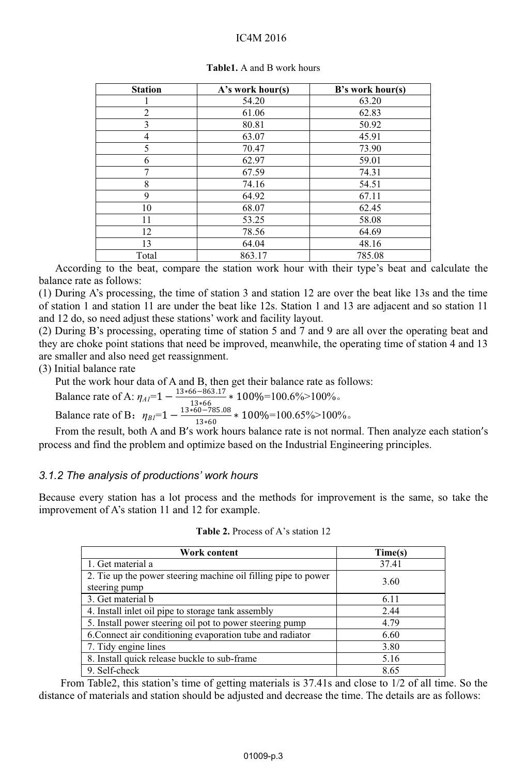#### IC4M 2016

| <b>Station</b> | A's work hour(s) | $B$ 's work hour(s) |
|----------------|------------------|---------------------|
|                | 54.20            | 63.20               |
| 2              | 61.06            | 62.83               |
| 3              | 80.81            | 50.92               |
| 4              | 63.07            | 45.91               |
| 5              | 70.47            | 73.90               |
| 6              | 62.97            | 59.01               |
| 7              | 67.59            | 74.31               |
| 8              | 74.16            | 54.51               |
| 9              | 64.92            | 67.11               |
| 10             | 68.07            | 62.45               |
| 11             | 53.25            | 58.08               |
| 12             | 78.56            | 64.69               |
| 13             | 64.04            | 48.16               |
| Total          | 863.17           | 785.08              |

**Table1.** A and B work hours

According to the beat, compare the station work hour with their type's beat and calculate the balance rate as follows:

(1) During A's processing, the time of station 3 and station 12 are over the beat like 13s and the time of station 1 and station 11 are under the beat like 12s. Station 1 and 13 are adjacent and so station 11 and 12 do, so need adjust these stations' work and facility layout.

(2) During B's processing, operating time of station 5 and 7 and 9 are all over the operating beat and they are choke point stations that need be improved, meanwhile, the operating time of station 4 and 13 are smaller and also need get reassignment.

### (3) Initial balance rate

Put the work hour data of A and B, then get their balance rate as follows:

Balance rate of A:  $\eta_{AI}$ =1  $-\frac{13*66-863.17}{13*66}$   $\neq$  100%=100.6%>100%. Balance rate of B:  $\eta_{BI}$ =1  $-\frac{13*60-785.08}{13*60} * 100\%$  = 100.65%>100%.

From the result, both A and B's work hours balance rate is not normal. Then analyze each station's process and find the problem and optimize based on the Industrial Engineering principles.

# *3.1.2 The analysis of productions' work hours*

Because every station has a lot process and the methods for improvement is the same, so take the improvement of A's station 11 and 12 for example.

| <b>Table 2.</b> Process of A's station 12 |
|-------------------------------------------|
|-------------------------------------------|

| Work content                                                                    | Time(s) |
|---------------------------------------------------------------------------------|---------|
| 1. Get material a                                                               | 37.41   |
| 2. Tie up the power steering machine oil filling pipe to power<br>steering pump | 3.60    |
| 3. Get material b                                                               | 6.11    |
| 4. Install inlet oil pipe to storage tank assembly                              | 2.44    |
| 5. Install power steering oil pot to power steering pump                        | 4.79    |
| 6. Connect air conditioning evaporation tube and radiator                       | 6.60    |
| 7. Tidy engine lines                                                            | 3.80    |
| 8. Install quick release buckle to sub-frame                                    | 5.16    |
| 9. Self-check                                                                   | 8.65    |

From Table2, this station's time of getting materials is 37.41s and close to 1/2 of all time. So the distance of materials and station should be adjusted and decrease the time. The details are as follows: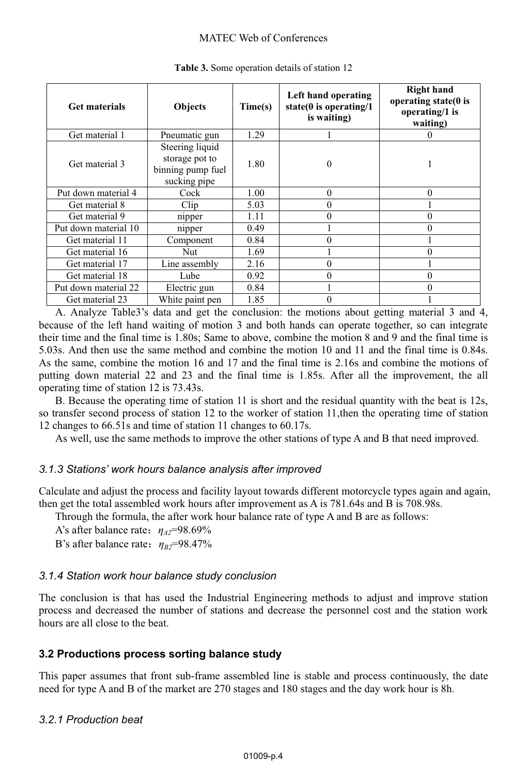#### MATEC Web of Conferences

| <b>Get materials</b> | <b>Objects</b>                                                         | Time(s) | Left hand operating<br>state( $0$ is operating/ $1$<br>is waiting) | <b>Right hand</b><br>operating state(0 is<br>operating/1 is<br>waiting) |
|----------------------|------------------------------------------------------------------------|---------|--------------------------------------------------------------------|-------------------------------------------------------------------------|
| Get material 1       | Pneumatic gun                                                          | 1.29    |                                                                    | $_{0}$                                                                  |
| Get material 3       | Steering liquid<br>storage pot to<br>binning pump fuel<br>sucking pipe | 1.80    | $\theta$                                                           |                                                                         |
| Put down material 4  | Cock                                                                   | 1.00    | $\theta$                                                           | $\theta$                                                                |
| Get material 8       | Clip                                                                   | 5.03    | $\theta$                                                           |                                                                         |
| Get material 9       | nipper                                                                 | 1.11    | $\theta$                                                           | 0                                                                       |
| Put down material 10 | nipper                                                                 | 0.49    |                                                                    | $\theta$                                                                |
| Get material 11      | Component                                                              | 0.84    | $\theta$                                                           |                                                                         |
| Get material 16      | Nut                                                                    | 1.69    |                                                                    | $\theta$                                                                |
| Get material 17      | Line assembly                                                          | 2.16    | $\theta$                                                           |                                                                         |
| Get material 18      | Lube                                                                   | 0.92    | $\theta$                                                           | 0                                                                       |
| Put down material 22 | Electric gun                                                           | 0.84    |                                                                    | $\theta$                                                                |
| Get material 23      | White paint pen                                                        | 1.85    | 0                                                                  |                                                                         |

**Table 3.** Some operation details of station 12

A. Analyze Table3's data and get the conclusion: the motions about getting material 3 and 4, because of the left hand waiting of motion 3 and both hands can operate together, so can integrate their time and the final time is 1.80s; Same to above, combine the motion 8 and 9 and the final time is 5.03s. And then use the same method and combine the motion 10 and 11 and the final time is 0.84s. As the same, combine the motion 16 and 17 and the final time is 2.16s and combine the motions of putting down material 22 and 23 and the final time is 1.85s. After all the improvement, the all operating time of station 12 is 73.43s.

B. Because the operating time of station 11 is short and the residual quantity with the beat is 12s, so transfer second process of station 12 to the worker of station 11,then the operating time of station 12 changes to 66.51s and time of station 11 changes to 60.17s.

As well, use the same methods to improve the other stations of type A and B that need improved.

# *3.1.3 Stations' work hours balance analysis after improved*

Calculate and adjust the process and facility layout towards different motorcycle types again and again, then get the total assembled work hours after improvement as A is 781.64s and B is 708.98s.

Through the formula, the after work hour balance rate of type A and B are as follows:

A's after balance rate˖*ηA2*=98.69%

B's after balance rate:  $η<sub>B2</sub>=98.47%$ 

# *3.1.4 Station work hour balance study conclusion*

The conclusion is that has used the Industrial Engineering methods to adjust and improve station process and decreased the number of stations and decrease the personnel cost and the station work hours are all close to the beat.

# **3.2 Productions process sorting balance study**

This paper assumes that front sub-frame assembled line is stable and process continuously, the date need for type A and B of the market are 270 stages and 180 stages and the day work hour is 8h.

# *3.2.1 Production beat*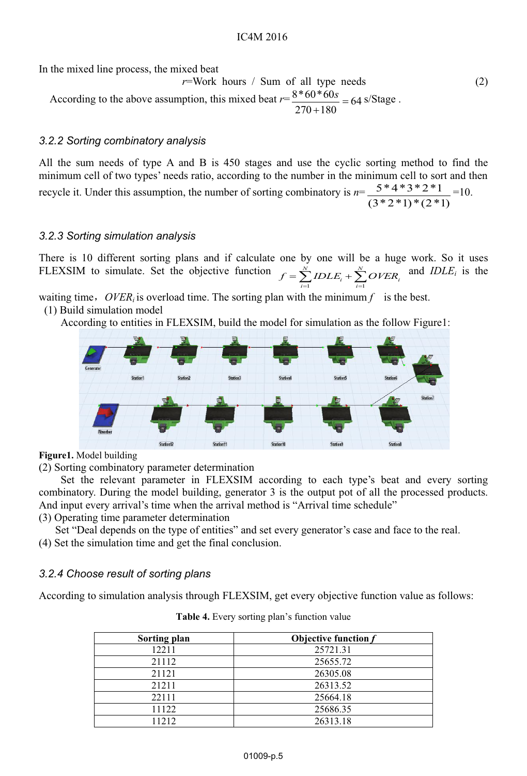In the mixed line process, the mixed beat

 $r = Work$  hours / Sum of all type needs (2) According to the above assumption, this mixed beat  $r = \frac{8 * 60 * 60 s}{270 + 180} = 64$  s/Stage.

# *3.2.2 Sorting combinatory analysis*

All the sum needs of type A and B is 450 stages and use the cyclic sorting method to find the minimum cell of two types' needs ratio, according to the number in the minimum cell to sort and then recycle it. Under this assumption, the number of sorting combinatory is *n*=  $(3 * 2 * 1) * (2 * 1)$  $\frac{5*4*3*2*1}{2}$  =10.

# *3.2.3 Sorting simulation analysis*

There is 10 different sorting plans and if calculate one by one will be a huge work. So it uses FLEXSIM to simulate. Set the objective function  $=\sum_{N}^{N}$ *IDLE*. + *i N*  $f = \sum_{i=1}^{N} IDLE_i + \sum_{i=1}^{N} OVER_i$ and *IDLEi* is the

waiting time,  $OVER_i$  is overload time. The sorting plan with the minimum  $f$  is the best.

(1) Build simulation model

According to entities in FLEXSIM, build the model for simulation as the follow Figure1:



#### **Figure1.** Model building

(2) Sorting combinatory parameter determination

Set the relevant parameter in FLEXSIM according to each type's beat and every sorting combinatory. During the model building, generator 3 is the output pot of all the processed products. And input every arrival's time when the arrival method is "Arrival time schedule"

(3) Operating time parameter determination

Set "Deal depends on the type of entities" and set every generator's case and face to the real.

(4) Set the simulation time and get the final conclusion.

# *3.2.4 Choose result of sorting plans*

According to simulation analysis through FLEXSIM, get every objective function value as follows:

| Sorting plan | Objective function $f$ |
|--------------|------------------------|
| 12211        | 25721.31               |
| 21112        | 25655.72               |
| 21121        | 26305.08               |
| 21211        | 26313.52               |
| 22111        | 25664.18               |
| 11122        | 25686.35               |
| 11212        | 26313.18               |

**Table 4.** Every sorting plan's function value